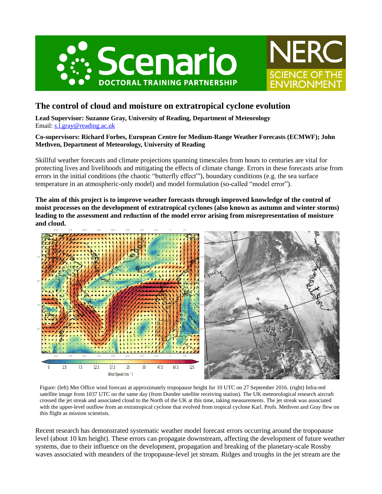



# **The control of cloud and moisture on extratropical cyclone evolution**

**Lead Supervisor: Suzanne Gray, University of Reading, Department of Meteorology** Email: [s.l.gray@reading.ac.uk](mailto:s.l.gray@reading.ac.uk)

### **Co-supervisors: Richard Forbes, European Centre for Medium-Range Weather Forecasts (ECMWF); John Methven, Department of Meteorology, University of Reading**

Skillful weather forecasts and climate projections spanning timescales from hours to centuries are vital for protecting lives and livelihoods and mitigating the effects of climate change. Errors in these forecasts arise from errors in the initial conditions (the chaotic "butterfly effect"'), boundary conditions (e.g. the sea surface temperature in an atmospheric-only model) and model formulation (so-called "model error").

**The aim of this project is to improve weather forecasts through improved knowledge of the control of moist processes on the development of extratropical cyclones (also known as autumn and winter storms) leading to the assessment and reduction of the model error arising from misrepresentation of moisture and cloud.**



Figure: (left) Met Office wind forecast at approximately tropopause height for 10 UTC on 27 September 2016. (right) Infra-red satellite image from 1037 UTC on the same day (from Dundee satellite receiving station). The UK meteorological research aircraft crossed the jet streak and associated cloud to the North of the UK at this time, taking measurements. The jet streak was associated with the upper-level outflow from an extratropical cyclone that evolved from tropical cyclone Karl. Profs. Methven and Gray flew on this flight as mission scientists.

Recent research has demonstrated systematic weather model forecast errors occurring around the tropopause level (about 10 km height). These errors can propagate downstream, affecting the development of future weather systems, due to their influence on the development, propagation and breaking of the planetary-scale Rossby waves associated with meanders of the tropopause-level jet stream. Ridges and troughs in the jet stream are the